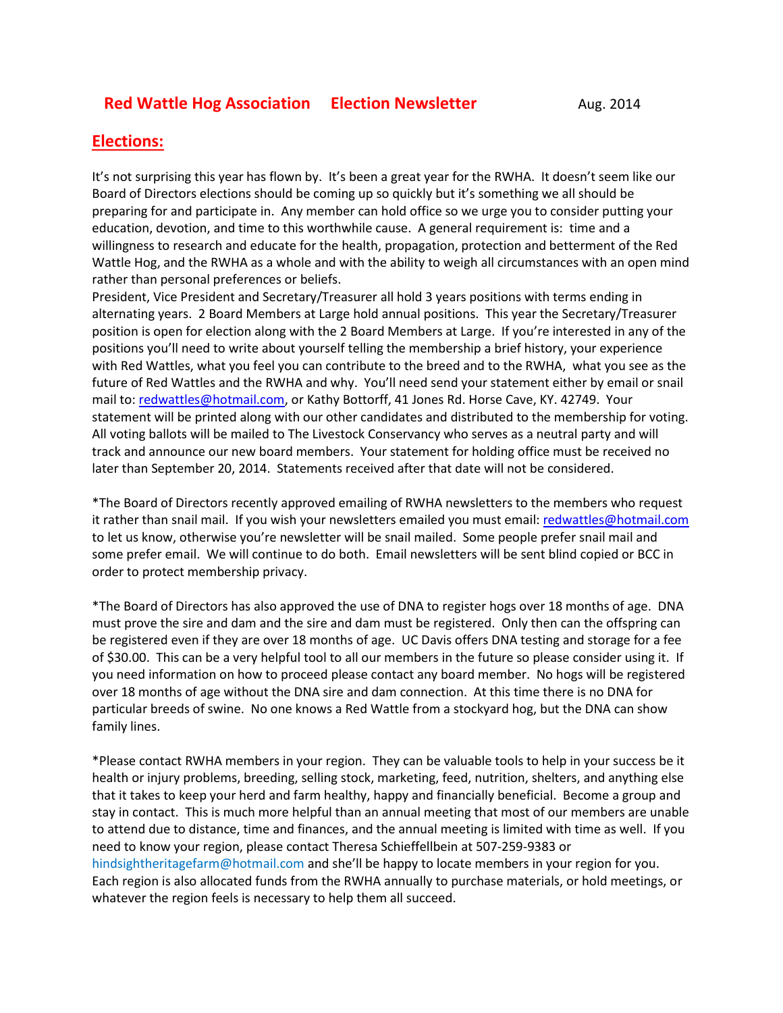## **Red Wattle Hog Association Election Newsletter** Aug. 2014

## **Elections:**

It's not surprising this year has flown by. It's been a great year for the RWHA. It doesn't seem like our Board of Directors elections should be coming up so quickly but it's something we all should be preparing for and participate in. Any member can hold office so we urge you to consider putting your education, devotion, and time to this worthwhile cause. A general requirement is: time and a willingness to research and educate for the health, propagation, protection and betterment of the Red Wattle Hog, and the RWHA as a whole and with the ability to weigh all circumstances with an open mind rather than personal preferences or beliefs.

President, Vice President and Secretary/Treasurer all hold 3 years positions with terms ending in alternating years. 2 Board Members at Large hold annual positions. This year the Secretary/Treasurer position is open for election along with the 2 Board Members at Large. If you're interested in any of the positions you'll need to write about yourself telling the membership a brief history, your experience with Red Wattles, what you feel you can contribute to the breed and to the RWHA, what you see as the future of Red Wattles and the RWHA and why. You'll need send your statement either by email or snail mail to[: redwattles@hotmail.com,](mailto:redwattles@hotmail.com) or Kathy Bottorff, 41 Jones Rd. Horse Cave, KY. 42749. Your statement will be printed along with our other candidates and distributed to the membership for voting. All voting ballots will be mailed to The Livestock Conservancy who serves as a neutral party and will track and announce our new board members. Your statement for holding office must be received no later than September 20, 2014. Statements received after that date will not be considered.

\*The Board of Directors recently approved emailing of RWHA newsletters to the members who request it rather than snail mail. If you wish your newsletters emailed you must email[: redwattles@hotmail.com](mailto:redwattles@hotmail.com) to let us know, otherwise you're newsletter will be snail mailed. Some people prefer snail mail and some prefer email. We will continue to do both. Email newsletters will be sent blind copied or BCC in order to protect membership privacy.

\*The Board of Directors has also approved the use of DNA to register hogs over 18 months of age. DNA must prove the sire and dam and the sire and dam must be registered. Only then can the offspring can be registered even if they are over 18 months of age. UC Davis offers DNA testing and storage for a fee of \$30.00. This can be a very helpful tool to all our members in the future so please consider using it. If you need information on how to proceed please contact any board member. No hogs will be registered over 18 months of age without the DNA sire and dam connection. At this time there is no DNA for particular breeds of swine. No one knows a Red Wattle from a stockyard hog, but the DNA can show family lines.

\*Please contact RWHA members in your region. They can be valuable tools to help in your success be it health or injury problems, breeding, selling stock, marketing, feed, nutrition, shelters, and anything else that it takes to keep your herd and farm healthy, happy and financially beneficial. Become a group and stay in contact. This is much more helpful than an annual meeting that most of our members are unable to attend due to distance, time and finances, and the annual meeting is limited with time as well. If you need to know your region, please contact Theresa Schieffellbein at 507-259-9383 or hindsightheritagefarm@hotmail.com and she'll be happy to locate members in your region for you. Each region is also allocated funds from the RWHA annually to purchase materials, or hold meetings, or whatever the region feels is necessary to help them all succeed.